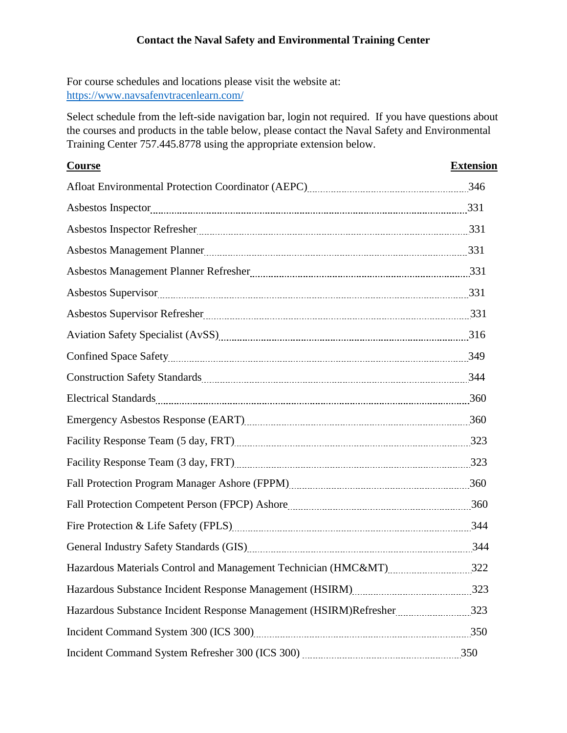## **Contact the Naval Safety and Environmental Training Center**

For course schedules and locations please visit the website at: <https://www.navsafenvtracenlearn.com/>

Select schedule from the left-side navigation bar, login not required. If you have questions about the courses and products in the table below, please contact the Naval Safety and Environmental Training Center 757.445.8778 using the appropriate extension below.

| <b>Course</b>                                                                                                                                                                                                                  | <b>Extension</b> |
|--------------------------------------------------------------------------------------------------------------------------------------------------------------------------------------------------------------------------------|------------------|
| Afloat Environmental Protection Coordinator (AEPC) [2012] [2013] [346] [346] [346] [346] [346] [346] [346] [346] [346] [346] [35] [346] [346] [35] [346] [35] [346] [35] [346] [35] [346] [35] [35] [35] [35] [35] [35] [35] [ |                  |
|                                                                                                                                                                                                                                |                  |
| Asbestos Inspector Refresher 231                                                                                                                                                                                               |                  |
|                                                                                                                                                                                                                                |                  |
|                                                                                                                                                                                                                                |                  |
|                                                                                                                                                                                                                                |                  |
|                                                                                                                                                                                                                                |                  |
| Aviation Safety Specialist (AvSS) [11] Aviation Safety Specialist (AvSS) [11] Aviation Safety Specialist (AvSS) [11] Aviation Superman manufactured at the Specialist (AvSS) [11] Aviation Supermanufactured at the Specialist |                  |
|                                                                                                                                                                                                                                |                  |
| Construction Safety Standards [11] March 2014 19: 2014                                                                                                                                                                         |                  |
| Electrical Standards 260                                                                                                                                                                                                       |                  |
| Emergency Asbestos Response (EART) [2010] The Second State of Stevens and Stevens and Stevens and Stevens and Stevens and Stevens and Stevens and Stevens and Stevens and Stevens and Stevens and Stevens and Stevens and Stev |                  |
|                                                                                                                                                                                                                                |                  |
|                                                                                                                                                                                                                                |                  |
|                                                                                                                                                                                                                                |                  |
|                                                                                                                                                                                                                                |                  |
|                                                                                                                                                                                                                                |                  |
| General Industry Safety Standards (GIS) 244                                                                                                                                                                                    |                  |
| Hazardous Materials Control and Management Technician (HMC&MT)322                                                                                                                                                              |                  |
|                                                                                                                                                                                                                                |                  |
| Hazardous Substance Incident Response Management (HSIRM)Refresher 323                                                                                                                                                          |                  |
|                                                                                                                                                                                                                                |                  |
|                                                                                                                                                                                                                                |                  |